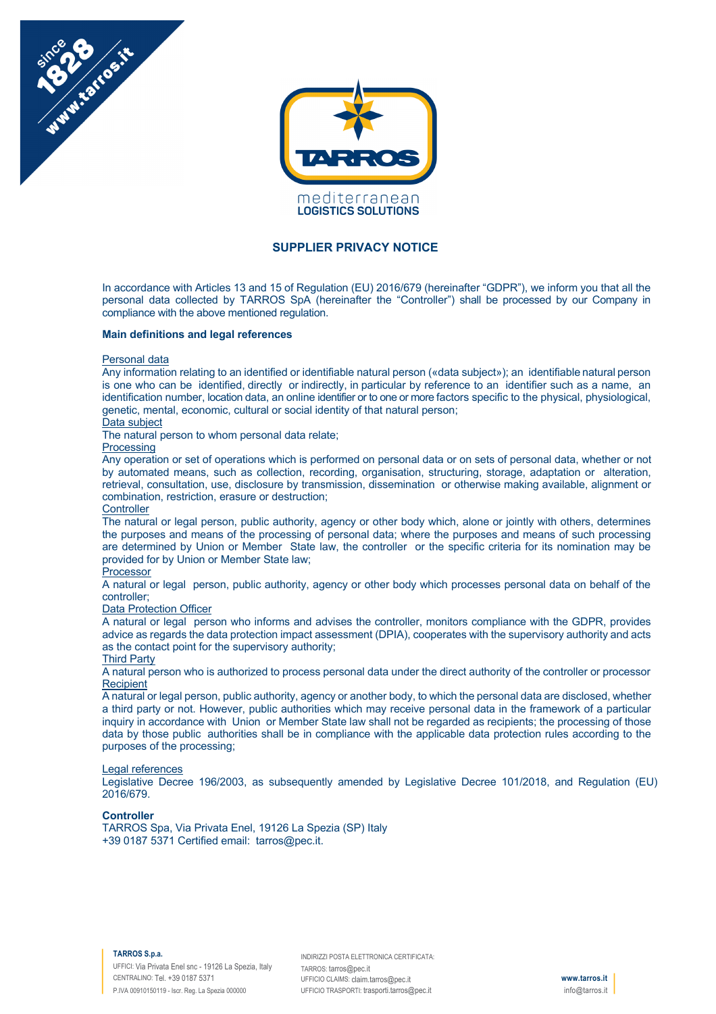



# **SUPPLIER PRIVACY NOTICE**

In accordance with Articles 13 and 15 of Regulation (EU) 2016/679 (hereinafter "GDPR"), we inform you that all the personal data collected by TARROS SpA (hereinafter the "Controller") shall be processed by our Company in compliance with the above mentioned regulation.

# **Main definitions and legal references**

### Personal data

Any information relating to an identified or identifiable natural person («data subject»); an identifiable natural person is one who can be identified, directly or indirectly, in particular by reference to an identifier such as a name, an identification number, location data, an online identifier or to one or more factors specific to the physical, physiological, genetic, mental, economic, cultural or social identity of that natural person;

## Data subject

The natural person to whom personal data relate;

# Processing

Any operation or set of operations which is performed on personal data or on sets of personal data, whether or not by automated means, such as collection, recording, organisation, structuring, storage, adaptation or alteration, retrieval, consultation, use, disclosure by transmission, dissemination or otherwise making available, alignment or combination, restriction, erasure or destruction;

### **Controller**

The natural or legal person, public authority, agency or other body which, alone or jointly with others, determines the purposes and means of the processing of personal data; where the purposes and means of such processing are determined by Union or Member State law, the controller or the specific criteria for its nomination may be provided for by Union or Member State law;

# **Processor**

A natural or legal person, public authority, agency or other body which processes personal data on behalf of the controller;

### Data Protection Officer

A natural or legal person who informs and advises the controller, monitors compliance with the GDPR, provides advice as regards the data protection impact assessment (DPIA), cooperates with the supervisory authority and acts as the contact point for the supervisory authority;

# Third Party

A natural person who is authorized to process personal data under the direct authority of the controller or processor **Recipient** 

A natural or legal person, public authority, agency or another body, to which the personal data are disclosed, whether a third party or not. However, public authorities which may receive personal data in the framework of a particular inquiry in accordance with Union or Member State law shall not be regarded as recipients; the processing of those data by those public authorities shall be in compliance with the applicable data protection rules according to the purposes of the processing;

### Legal references

Legislative Decree 196/2003, as subsequently amended by Legislative Decree 101/2018, and Regulation (EU) 2016/679.

### **Controller**

TARROS Spa, Via Privata Enel, 19126 La Spezia (SP) Italy +39 0187 5371 Certified email: tarros@pec.it.

#### **TARROS S.p.a.**

UFFICI: Via Privata Enel snc - 19126 La Spezia, Italy CENTRALINO: Tel. +39 0187 5371 P.IVA 00910150119 - Iscr. Reg. La Spezia 000000

INDIRIZZI POSTA ELETTRONICA CERTIFICATA: TARROS: tarros@pec.it UFFICIO CLAIMS: claim.tarros@pec.it UFFICIO TRASPORTI: trasporti.tarros@pec.it

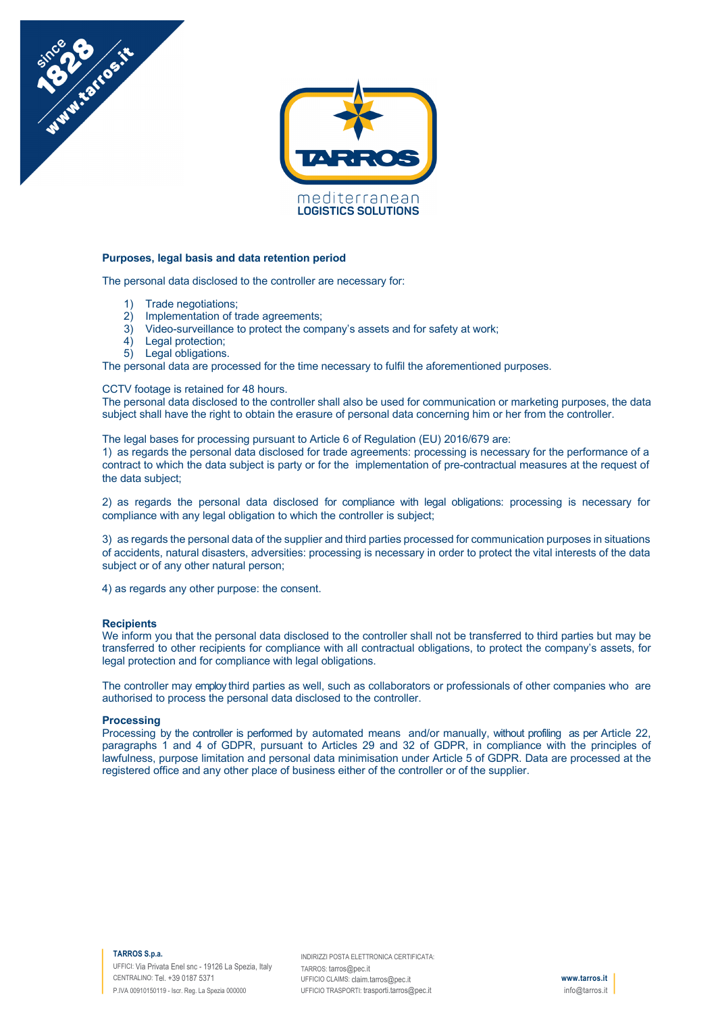

# **Purposes, legal basis and data retention period**

The personal data disclosed to the controller are necessary for:

1) Trade negotiations;

Maritimes in

- 2) Implementation of trade agreements;<br>3) Video-surveillance to protect the com
- Video-surveillance to protect the company's assets and for safety at work;
- 4) Legal protection;
- 5) Legal obligations.

The personal data are processed for the time necessary to fulfil the aforementioned purposes.

# CCTV footage is retained for 48 hours.

The personal data disclosed to the controller shall also be used for communication or marketing purposes, the data subject shall have the right to obtain the erasure of personal data concerning him or her from the controller.

The legal bases for processing pursuant to Article 6 of Regulation (EU) 2016/679 are:

1) as regards the personal data disclosed for trade agreements: processing is necessary for the performance of a contract to which the data subject is party or for the implementation of pre-contractual measures at the request of the data subject;

2) as regards the personal data disclosed for compliance with legal obligations: processing is necessary for compliance with any legal obligation to which the controller is subject;

3) as regards the personal data of the supplier and third parties processed for communication purposes in situations of accidents, natural disasters, adversities: processing is necessary in order to protect the vital interests of the data subject or of any other natural person;

4) as regards any other purpose: the consent.

### **Recipients**

We inform you that the personal data disclosed to the controller shall not be transferred to third parties but may be transferred to other recipients for compliance with all contractual obligations, to protect the company's assets, for legal protection and for compliance with legal obligations.

The controller may employ third parties as well, such as collaborators or professionals of other companies who are authorised to process the personal data disclosed to the controller.

#### **Processing**

Processing by the controller is performed by automated means and/or manually, without profiling as per Article 22, paragraphs 1 and 4 of GDPR, pursuant to Articles 29 and 32 of GDPR, in compliance with the principles of lawfulness, purpose limitation and personal data minimisation under Article 5 of GDPR. Data are processed at the registered office and any other place of business either of the controller or of the supplier.

### **TARROS S.p.a.**

UFFICI: Via Privata Enel snc - 19126 La Spezia, Italy CENTRALINO: Tel. +39 0187 5371 P.IVA 00910150119 - Iscr. Reg. La Spezia 000000

INDIRIZZI POSTA ELETTRONICA CERTIFICATA: TARROS: tarros@pec.it UFFICIO CLAIMS: claim.tarros@pec.it UFFICIO TRASPORTI: trasporti.tarros@pec.it